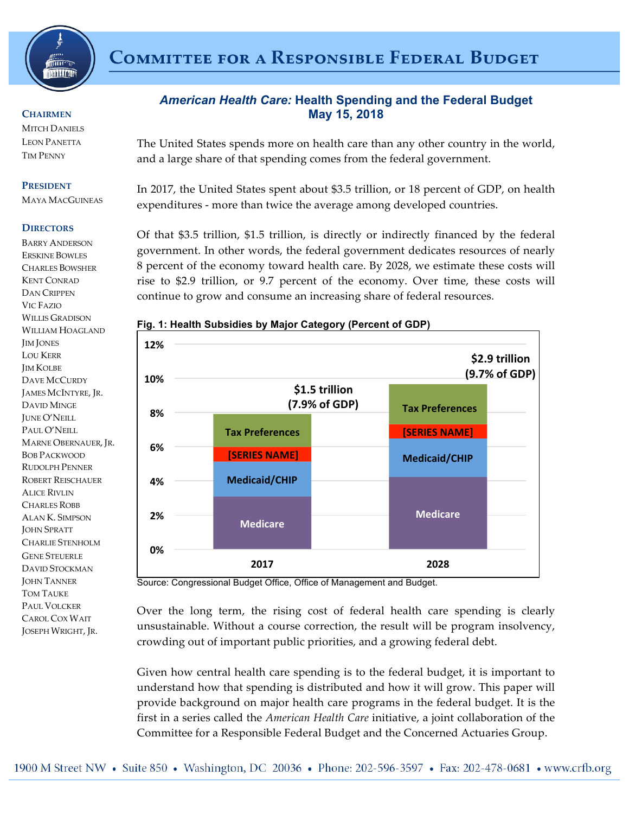

# **COMMITTEE FOR A RESPONSIBLE FEDERAL BUDGET**

#### **CHAIRMEN**

**MITCH DANIELS** LEON PANETTA TIM PENNY

#### **PRESIDENT**

MAYA MACGUINEAS

#### **DIRECTORS**

BARRY ANDERSON ERSKINE BOWLES CHARLES BOWSHER KENT CONRAD DAN CRIPPEN VIC FAZIO WILLIS GRADISON WILLIAM HOAGLAND JIM JONES LOU KERR JIM KOLBE DAVE MCCURDY JAMES MCINTYRE, JR. DAVID MINGE JUNE O'NEILL PAUL O'NEILL MARNE OBERNAUER, JR. BOB PACKWOOD RUDOLPH PENNER ROBERT REISCHAUER ALICE RIVLIN CHARLES ROBB ALAN K. SIMPSON JOHN SPRATT CHARLIE STENHOLM GENE STEUERLE DAVID STOCKMAN JOHN TANNER TOM TAUKE PAUL VOLCKER CAROL COX WAIT JOSEPH WRIGHT, JR.

# *American Health Care:* **Health Spending and the Federal Budget May 15, 2018**

The United States spends more on health care than any other country in the world, and a large share of that spending comes from the federal government.

In 2017, the United States spent about \$3.5 trillion, or 18 percent of GDP, on health expenditures - more than twice the average among developed countries.

Of that \$3.5 trillion, \$1.5 trillion, is directly or indirectly financed by the federal government. In other words, the federal government dedicates resources of nearly 8 percent of the economy toward health care. By 2028, we estimate these costs will rise to \$2.9 trillion, or 9.7 percent of the economy. Over time, these costs will continue to grow and consume an increasing share of federal resources.



### **Fig. 1: Health Subsidies by Major Category (Percent of GDP)**

Source: Congressional Budget Office, Office of Management and Budget.

Over the long term, the rising cost of federal health care spending is clearly unsustainable. Without a course correction, the result will be program insolvency, crowding out of important public priorities, and a growing federal debt.

Given how central health care spending is to the federal budget, it is important to understand how that spending is distributed and how it will grow. This paper will provide background on major health care programs in the federal budget. It is the first in a series called the *American Health Care* initiative, a joint collaboration of the Committee for a Responsible Federal Budget and the Concerned Actuaries Group.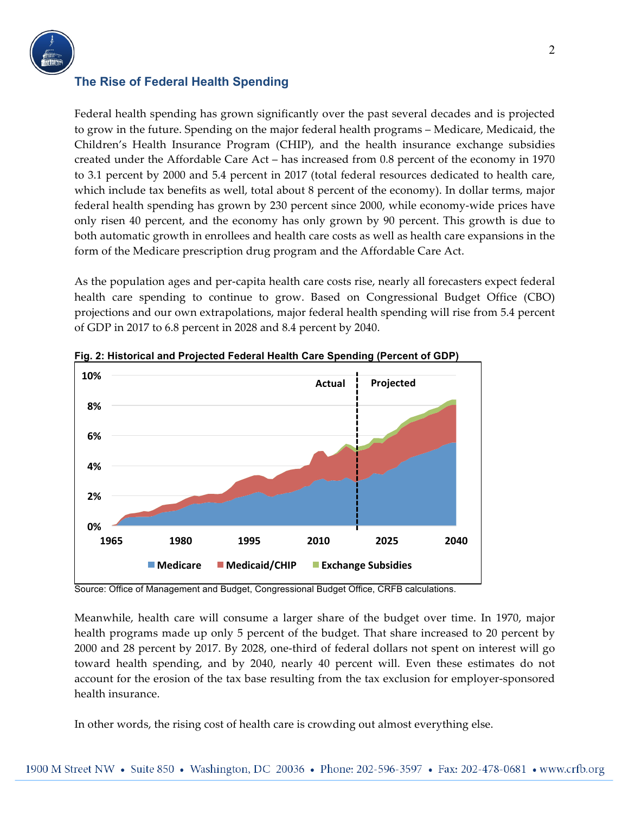

# **The Rise of Federal Health Spending**

Federal health spending has grown significantly over the past several decades and is projected to grow in the future. Spending on the major federal health programs – Medicare, Medicaid, the Children's Health Insurance Program (CHIP), and the health insurance exchange subsidies created under the Affordable Care Act – has increased from 0.8 percent of the economy in 1970 to 3.1 percent by 2000 and 5.4 percent in 2017 (total federal resources dedicated to health care, which include tax benefits as well, total about 8 percent of the economy). In dollar terms, major federal health spending has grown by 230 percent since 2000, while economy-wide prices have only risen 40 percent, and the economy has only grown by 90 percent. This growth is due to both automatic growth in enrollees and health care costs as well as health care expansions in the form of the Medicare prescription drug program and the Affordable Care Act.

As the population ages and per-capita health care costs rise, nearly all forecasters expect federal health care spending to continue to grow. Based on Congressional Budget Office (CBO) projections and our own extrapolations, major federal health spending will rise from 5.4 percent of GDP in 2017 to 6.8 percent in 2028 and 8.4 percent by 2040.



**Fig. 2: Historical and Projected Federal Health Care Spending (Percent of GDP)**

Source: Office of Management and Budget, Congressional Budget Office, CRFB calculations.

Meanwhile, health care will consume a larger share of the budget over time. In 1970, major health programs made up only 5 percent of the budget. That share increased to 20 percent by 2000 and 28 percent by 2017. By 2028, one-third of federal dollars not spent on interest will go toward health spending, and by 2040, nearly 40 percent will. Even these estimates do not account for the erosion of the tax base resulting from the tax exclusion for employer-sponsored health insurance.

In other words, the rising cost of health care is crowding out almost everything else.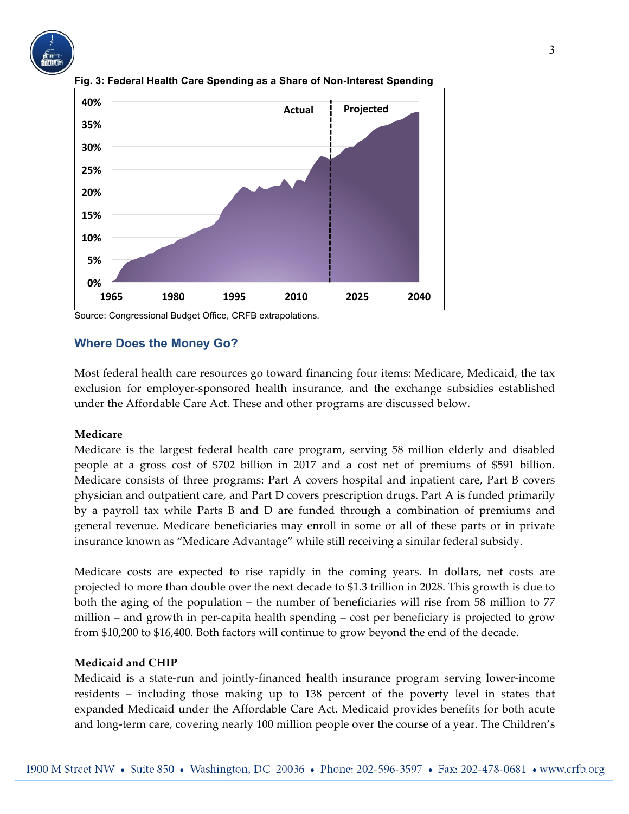





### **Where Does the Money Go?**

Most federal health care resources go toward financing four items: Medicare, Medicaid, the tax exclusion for employer-sponsored health insurance, and the exchange subsidies established under the Affordable Care Act. These and other programs are discussed below.

#### **Medicare**

Medicare is the largest federal health care program, serving 58 million elderly and disabled people at a gross cost of \$702 billion in 2017 and a cost net of premiums of \$591 billion. Medicare consists of three programs: Part A covers hospital and inpatient care, Part B covers physician and outpatient care, and Part D covers prescription drugs. Part A is funded primarily by a payroll tax while Parts B and D are funded through a combination of premiums and general revenue. Medicare beneficiaries may enroll in some or all of these parts or in private insurance known as "Medicare Advantage" while still receiving a similar federal subsidy.

Medicare costs are expected to rise rapidly in the coming years. In dollars, net costs are projected to more than double over the next decade to \$1.3 trillion in 2028. This growth is due to both the aging of the population – the number of beneficiaries will rise from 58 million to 77 million – and growth in per-capita health spending – cost per beneficiary is projected to grow from \$10,200 to \$16,400. Both factors will continue to grow beyond the end of the decade.

#### **Medicaid and CHIP**

Medicaid is a state-run and jointly-financed health insurance program serving lower-income residents – including those making up to 138 percent of the poverty level in states that expanded Medicaid under the Affordable Care Act. Medicaid provides benefits for both acute and long-term care, covering nearly 100 million people over the course of a year. The Children's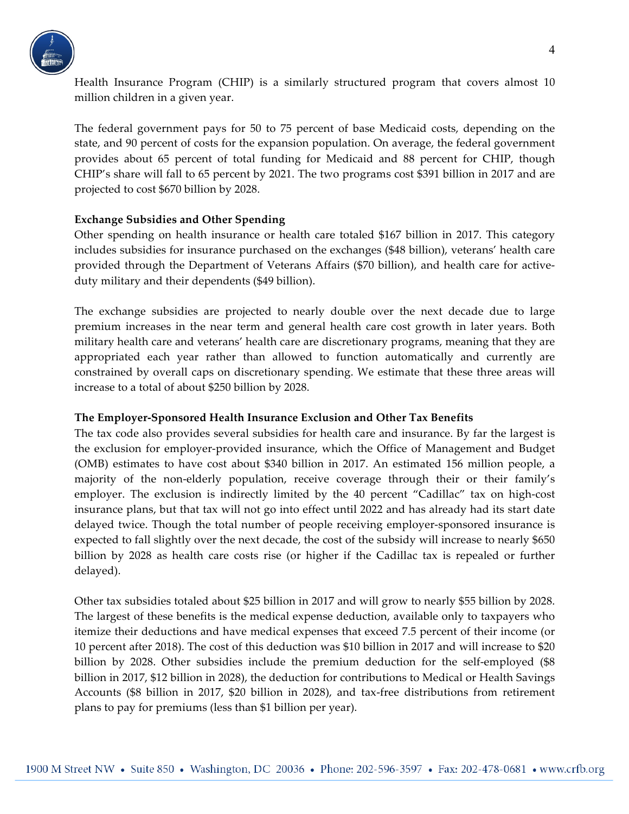

Health Insurance Program (CHIP) is a similarly structured program that covers almost 10 million children in a given year.

The federal government pays for 50 to 75 percent of base Medicaid costs, depending on the state, and 90 percent of costs for the expansion population. On average, the federal government provides about 65 percent of total funding for Medicaid and 88 percent for CHIP, though CHIP's share will fall to 65 percent by 2021. The two programs cost \$391 billion in 2017 and are projected to cost \$670 billion by 2028.

### **Exchange Subsidies and Other Spending**

Other spending on health insurance or health care totaled \$167 billion in 2017. This category includes subsidies for insurance purchased on the exchanges (\$48 billion), veterans' health care provided through the Department of Veterans Affairs (\$70 billion), and health care for activeduty military and their dependents (\$49 billion).

The exchange subsidies are projected to nearly double over the next decade due to large premium increases in the near term and general health care cost growth in later years. Both military health care and veterans' health care are discretionary programs, meaning that they are appropriated each year rather than allowed to function automatically and currently are constrained by overall caps on discretionary spending. We estimate that these three areas will increase to a total of about \$250 billion by 2028.

### **The Employer-Sponsored Health Insurance Exclusion and Other Tax Benefits**

The tax code also provides several subsidies for health care and insurance. By far the largest is the exclusion for employer-provided insurance, which the Office of Management and Budget (OMB) estimates to have cost about \$340 billion in 2017. An estimated 156 million people, a majority of the non-elderly population, receive coverage through their or their family's employer. The exclusion is indirectly limited by the 40 percent "Cadillac" tax on high-cost insurance plans, but that tax will not go into effect until 2022 and has already had its start date delayed twice. Though the total number of people receiving employer-sponsored insurance is expected to fall slightly over the next decade, the cost of the subsidy will increase to nearly \$650 billion by 2028 as health care costs rise (or higher if the Cadillac tax is repealed or further delayed).

Other tax subsidies totaled about \$25 billion in 2017 and will grow to nearly \$55 billion by 2028. The largest of these benefits is the medical expense deduction, available only to taxpayers who itemize their deductions and have medical expenses that exceed 7.5 percent of their income (or 10 percent after 2018). The cost of this deduction was \$10 billion in 2017 and will increase to \$20 billion by 2028. Other subsidies include the premium deduction for the self-employed (\$8 billion in 2017, \$12 billion in 2028), the deduction for contributions to Medical or Health Savings Accounts (\$8 billion in 2017, \$20 billion in 2028), and tax-free distributions from retirement plans to pay for premiums (less than \$1 billion per year).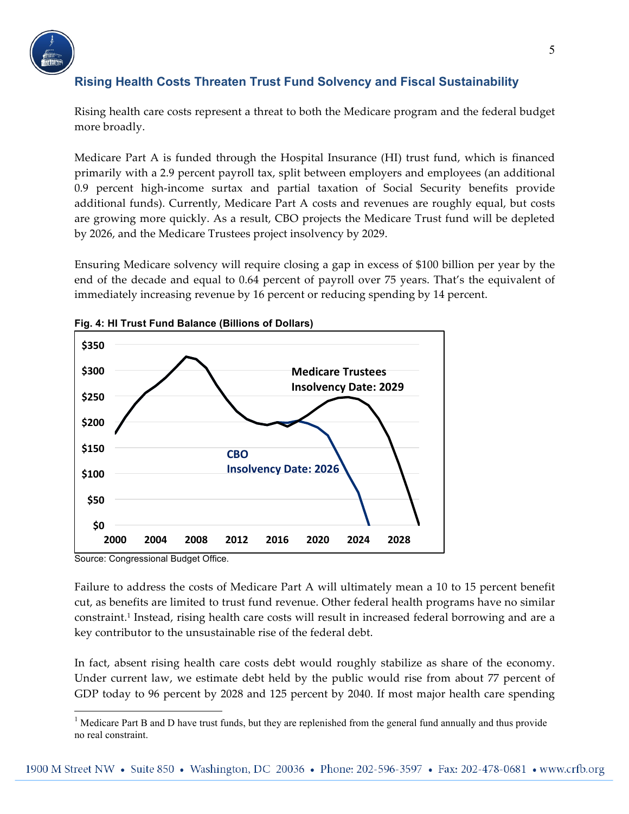

# **Rising Health Costs Threaten Trust Fund Solvency and Fiscal Sustainability**

Rising health care costs represent a threat to both the Medicare program and the federal budget more broadly.

Medicare Part A is funded through the Hospital Insurance (HI) trust fund, which is financed primarily with a 2.9 percent payroll tax, split between employers and employees (an additional 0.9 percent high-income surtax and partial taxation of Social Security benefits provide additional funds). Currently, Medicare Part A costs and revenues are roughly equal, but costs are growing more quickly. As a result, CBO projects the Medicare Trust fund will be depleted by 2026, and the Medicare Trustees project insolvency by 2029.

Ensuring Medicare solvency will require closing a gap in excess of \$100 billion per year by the end of the decade and equal to 0.64 percent of payroll over 75 years. That's the equivalent of immediately increasing revenue by 16 percent or reducing spending by 14 percent.





Source: Congressional Budget Office.

Failure to address the costs of Medicare Part A will ultimately mean a 10 to 15 percent benefit cut, as benefits are limited to trust fund revenue. Other federal health programs have no similar constraint.1 Instead, rising health care costs will result in increased federal borrowing and are a key contributor to the unsustainable rise of the federal debt.

In fact, absent rising health care costs debt would roughly stabilize as share of the economy. Under current law, we estimate debt held by the public would rise from about 77 percent of GDP today to 96 percent by 2028 and 125 percent by 2040. If most major health care spending

<sup>&</sup>lt;sup>1</sup> Medicare Part B and D have trust funds, but they are replenished from the general fund annually and thus provide no real constraint.